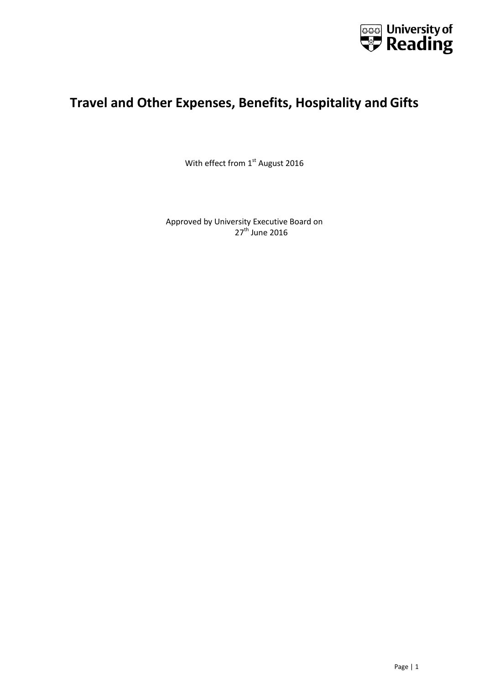

# **Travel and Other Expenses, Benefits, Hospitality and Gifts**

With effect from 1<sup>st</sup> August 2016

Approved by University Executive Board on  $27<sup>th</sup>$  June 2016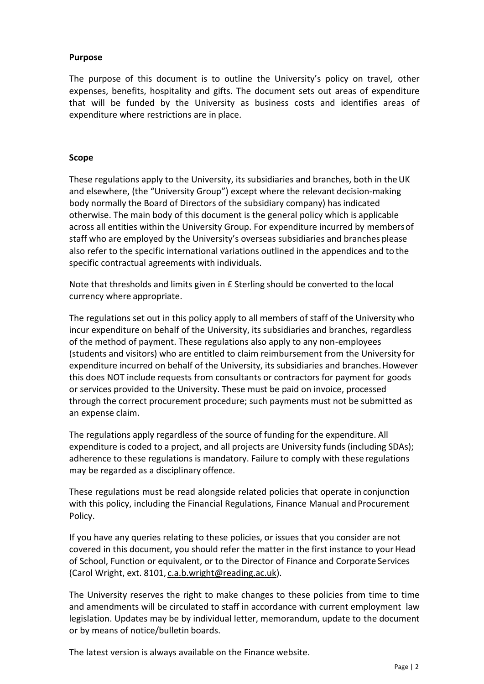#### **Purpose**

The purpose of this document is to outline the University's policy on travel, other expenses, benefits, hospitality and gifts. The document sets out areas of expenditure that will be funded by the University as business costs and identifies areas of expenditure where restrictions are in place.

#### **Scope**

These regulations apply to the University, its subsidiaries and branches, both in theUK and elsewhere, (the "University Group") except where the relevant decision-making body normally the Board of Directors of the subsidiary company) has indicated otherwise. The main body of this document is the general policy which is applicable across all entities within the University Group. For expenditure incurred by membersof staff who are employed by the University's overseas subsidiaries and branches please also refer to the specific international variations outlined in the appendices and to the specific contractual agreements with individuals.

Note that thresholds and limits given in £ Sterling should be converted to the local currency where appropriate.

The regulations set out in this policy apply to all members of staff of the University who incur expenditure on behalf of the University, its subsidiaries and branches, regardless of the method of payment. These regulations also apply to any non-employees (students and visitors) who are entitled to claim reimbursement from the University for expenditure incurred on behalf of the University, its subsidiaries and branches.However this does NOT include requests from consultants or contractors for payment for goods or services provided to the University. These must be paid on invoice, processed through the correct procurement procedure; such payments must not be submitted as an expense claim.

The regulations apply regardless of the source of funding for the expenditure. All expenditure is coded to a project, and all projects are University funds (including SDAs); adherence to these regulations is mandatory. Failure to comply with these regulations may be regarded as a disciplinary offence.

These regulations must be read alongside related policies that operate in conjunction with this policy, including the Financial Regulations, Finance Manual and Procurement Policy.

If you have any queries relating to these policies, or issues that you consider are not covered in this document, you should refer the matter in the first instance to your Head of School, Function or equivalent, or to the Director of Finance and Corporate Services (Carol Wright, ext. 8101, [c.a.b.wright@reading.ac.uk\)](mailto:c.a.b.wright@reading.ac.uk).

The University reserves the right to make changes to these policies from time to time and amendments will be circulated to staff in accordance with current employment law legislation. Updates may be by individual letter, memorandum, update to the document or by means of notice/bulletin boards.

The latest version is always available on the Finance website.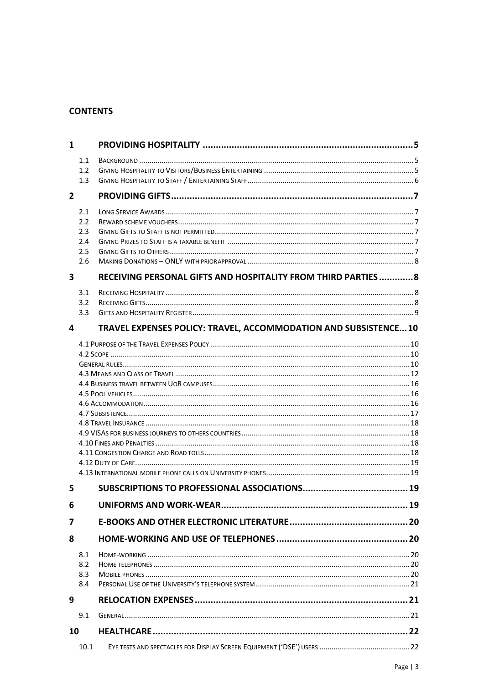#### **CONTENTS**

| 1                       |      |                                                                 |  |  |
|-------------------------|------|-----------------------------------------------------------------|--|--|
|                         | 1.1  |                                                                 |  |  |
|                         | 1.2  |                                                                 |  |  |
|                         | 1.3  |                                                                 |  |  |
| $\overline{2}$          |      |                                                                 |  |  |
|                         | 2.1  |                                                                 |  |  |
|                         | 2.2  |                                                                 |  |  |
|                         | 2.3  |                                                                 |  |  |
|                         | 2.4  |                                                                 |  |  |
|                         | 2.5  |                                                                 |  |  |
|                         | 2.6  |                                                                 |  |  |
| $\overline{\mathbf{3}}$ |      | RECEIVING PERSONAL GIFTS AND HOSPITALITY FROM THIRD PARTIES 8   |  |  |
|                         | 3.1  |                                                                 |  |  |
|                         | 3.2  |                                                                 |  |  |
|                         | 3.3  |                                                                 |  |  |
| 4                       |      | TRAVEL EXPENSES POLICY: TRAVEL, ACCOMMODATION AND SUBSISTENCE10 |  |  |
|                         |      |                                                                 |  |  |
|                         |      |                                                                 |  |  |
|                         |      |                                                                 |  |  |
|                         |      |                                                                 |  |  |
|                         |      |                                                                 |  |  |
|                         |      |                                                                 |  |  |
|                         |      |                                                                 |  |  |
|                         |      |                                                                 |  |  |
|                         |      |                                                                 |  |  |
|                         |      |                                                                 |  |  |
|                         |      |                                                                 |  |  |
|                         |      |                                                                 |  |  |
|                         |      |                                                                 |  |  |
| 5                       |      |                                                                 |  |  |
| 6                       |      |                                                                 |  |  |
| 7                       |      |                                                                 |  |  |
| 8                       |      |                                                                 |  |  |
|                         | 8.1  |                                                                 |  |  |
|                         | 8.2  |                                                                 |  |  |
|                         | 8.3  |                                                                 |  |  |
|                         | 8.4  |                                                                 |  |  |
| 9                       |      |                                                                 |  |  |
|                         | 9.1  |                                                                 |  |  |
| 10                      |      |                                                                 |  |  |
|                         | 10.1 |                                                                 |  |  |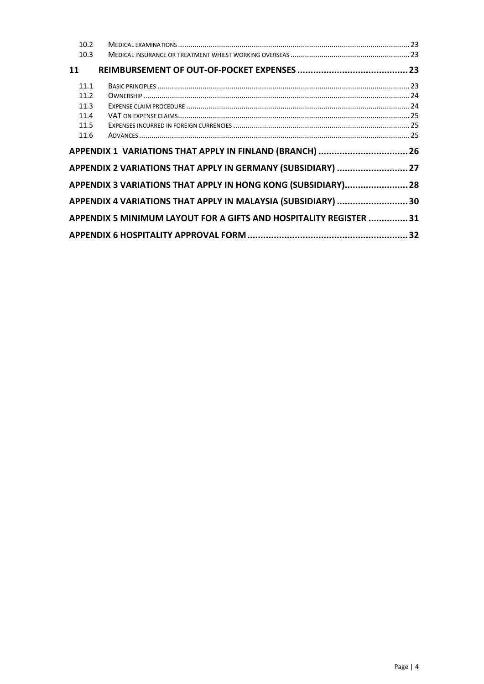| 10.2 |                                                                   |  |
|------|-------------------------------------------------------------------|--|
| 10.3 |                                                                   |  |
| 11   |                                                                   |  |
| 11.1 |                                                                   |  |
| 11.2 |                                                                   |  |
| 11.3 |                                                                   |  |
| 11.4 |                                                                   |  |
| 11.5 |                                                                   |  |
| 11.6 |                                                                   |  |
|      |                                                                   |  |
|      | APPENDIX 1 VARIATIONS THAT APPLY IN FINLAND (BRANCH)  26          |  |
|      | APPENDIX 2 VARIATIONS THAT APPLY IN GERMANY (SUBSIDIARY)  27      |  |
|      | APPENDIX 3 VARIATIONS THAT APPLY IN HONG KONG (SUBSIDIARY) 28     |  |
|      | APPENDIX 4 VARIATIONS THAT APPLY IN MALAYSIA (SUBSIDIARY) 30      |  |
|      | APPENDIX 5 MINIMUM LAYOUT FOR A GIFTS AND HOSPITALITY REGISTER 31 |  |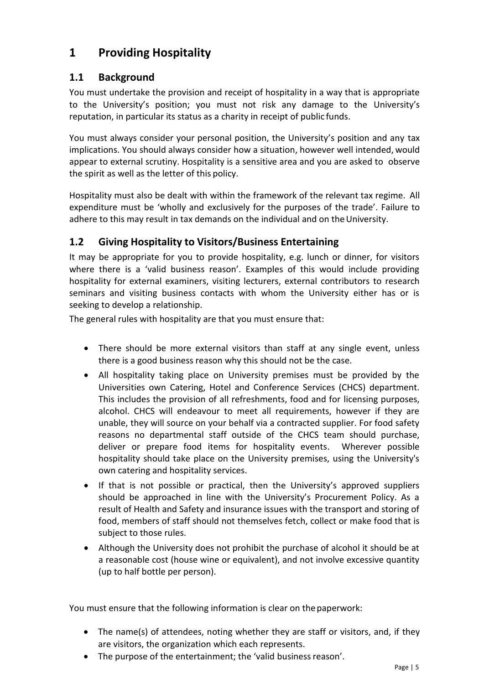# <span id="page-4-0"></span>**1 Providing Hospitality**

## <span id="page-4-1"></span>**1.1 Background**

You must undertake the provision and receipt of hospitality in a way that is appropriate to the University's position; you must not risk any damage to the University's reputation, in particular its status as a charity in receipt of public funds.

You must always consider your personal position, the University's position and any tax implications. You should always consider how a situation, however well intended, would appear to external scrutiny. Hospitality is a sensitive area and you are asked to observe the spirit as well as the letter of this policy.

Hospitality must also be dealt with within the framework of the relevant tax regime. All expenditure must be 'wholly and exclusively for the purposes of the trade'. Failure to adhere to this may result in tax demands on the individual and on the University.

# <span id="page-4-2"></span>**1.2 Giving Hospitality to Visitors/Business Entertaining**

It may be appropriate for you to provide hospitality, e.g. lunch or dinner, for visitors where there is a 'valid business reason'. Examples of this would include providing hospitality for external examiners, visiting lecturers, external contributors to research seminars and visiting business contacts with whom the University either has or is seeking to develop a relationship.

The general rules with hospitality are that you must ensure that:

- There should be more external visitors than staff at any single event, unless there is a good business reason why this should not be the case.
- All hospitality taking place on University premises must be provided by the Universities own Catering, Hotel and Conference Services (CHCS) department. This includes the provision of all refreshments, food and for licensing purposes, alcohol. CHCS will endeavour to meet all requirements, however if they are unable, they will source on your behalf via a contracted supplier. For food safety reasons no departmental staff outside of the CHCS team should purchase, deliver or prepare food items for hospitality events. Wherever possible hospitality should take place on the University premises, using the University's own catering and hospitality services.
- If that is not possible or practical, then the University's approved suppliers should be approached in line with the University's Procurement Policy. As a result of Health and Safety and insurance issues with the transport and storing of food, members of staff should not themselves fetch, collect or make food that is subject to those rules.
- Although the University does not prohibit the purchase of alcohol it should be at a reasonable cost (house wine or equivalent), and not involve excessive quantity (up to half bottle per person).

You must ensure that the following information is clear on the paperwork:

- The name(s) of attendees, noting whether they are staff or visitors, and, if they are visitors, the organization which each represents.
- The purpose of the entertainment; the 'valid business reason'.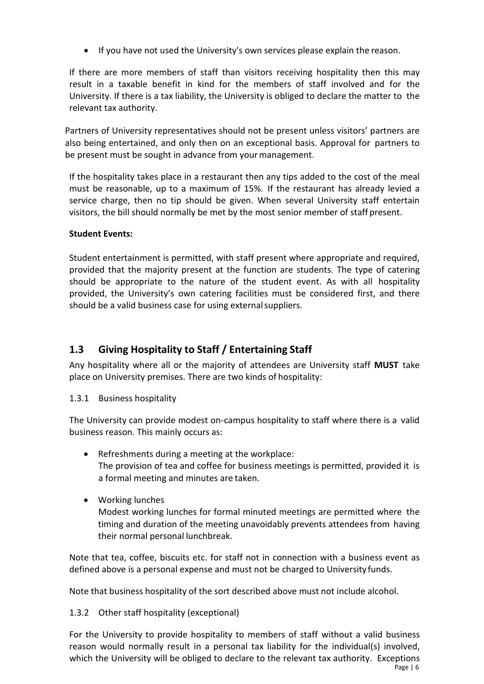If you have not used the University's own services please explain the reason.

If there are more members of staff than visitors receiving hospitality then this may result in a taxable benefit in kind for the members of staff involved and for the University. If there is a tax liability, the University is obliged to declare the matter to the relevant tax authority.

Partners of University representatives should not be present unless visitors' partners are also being entertained, and only then on an exceptional basis. Approval for partners to be present must be sought in advance from your management.

If the hospitality takes place in a restaurant then any tips added to the cost of the meal must be reasonable, up to a maximum of 15%. If the restaurant has already levied a service charge, then no tip should be given. When several University staff entertain visitors, the bill should normally be met by the most senior member of staff present.

#### **Student Events:**

Student entertainment is permitted, with staff present where appropriate and required, provided that the majority present at the function are students. The type of catering should be appropriate to the nature of the student event. As with all hospitality provided, the University's own catering facilities must be considered first, and there should be a valid business case for using externalsuppliers.

# <span id="page-5-0"></span>**1.3 Giving Hospitality to Staff / Entertaining Staff**

Any hospitality where all or the majority of attendees are University staff **MUST** take place on University premises. There are two kinds of hospitality:

1.3.1 Business hospitality

The University can provide modest on-campus hospitality to staff where there is a valid business reason. This mainly occurs as:

- Refreshments during a meeting at the workplace: The provision of tea and coffee for business meetings is permitted, provided it is a formal meeting and minutes are taken.
- Working lunches Modest working lunches for formal minuted meetings are permitted where the timing and duration of the meeting unavoidably prevents attendees from having their normal personal lunchbreak.

Note that tea, coffee, biscuits etc. for staff not in connection with a business event as defined above is a personal expense and must not be charged to University funds.

Note that business hospitality of the sort described above must not include alcohol.

1.3.2 Other staff hospitality (exceptional)

Page | 6 For the University to provide hospitality to members of staff without a valid business reason would normally result in a personal tax liability for the individual(s) involved, which the University will be obliged to declare to the relevant tax authority. Exceptions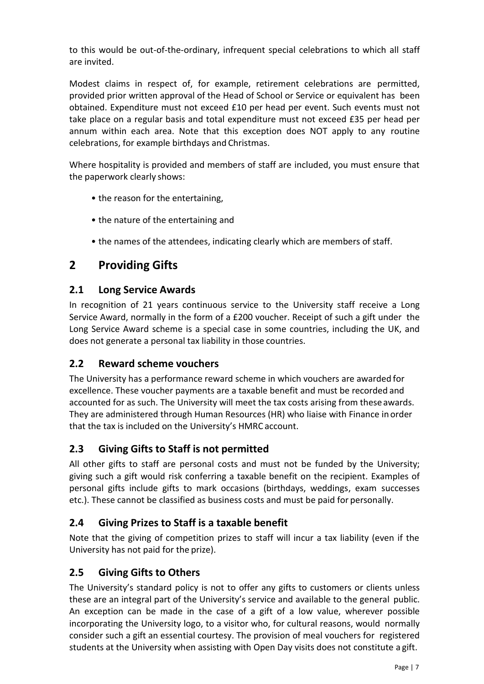to this would be out-of-the-ordinary, infrequent special celebrations to which all staff are invited.

Modest claims in respect of, for example, retirement celebrations are permitted, provided prior written approval of the Head of School or Service or equivalent has been obtained. Expenditure must not exceed £10 per head per event. Such events must not take place on a regular basis and total expenditure must not exceed £35 per head per annum within each area. Note that this exception does NOT apply to any routine celebrations, for example birthdays and Christmas.

Where hospitality is provided and members of staff are included, you must ensure that the paperwork clearly shows:

- the reason for the entertaining,
- the nature of the entertaining and
- the names of the attendees, indicating clearly which are members of staff.

# <span id="page-6-0"></span>**2 Providing Gifts**

## <span id="page-6-1"></span>**2.1 Long Service Awards**

In recognition of 21 years continuous service to the University staff receive a Long Service Award, normally in the form of a £200 voucher. Receipt of such a gift under the Long Service Award scheme is a special case in some countries, including the UK, and does not generate a personal tax liability in those countries.

#### <span id="page-6-2"></span>**2.2 Reward scheme vouchers**

The University has a performance reward scheme in which vouchers are awarded for excellence. These voucher payments are a taxable benefit and must be recorded and accounted for as such. The University will meet the tax costs arising from these awards. They are administered through Human Resources (HR) who liaise with Finance in order that the tax is included on the University's HMRC account.

# <span id="page-6-3"></span>**2.3 Giving Gifts to Staff is not permitted**

All other gifts to staff are personal costs and must not be funded by the University; giving such a gift would risk conferring a taxable benefit on the recipient. Examples of personal gifts include gifts to mark occasions (birthdays, weddings, exam successes etc.). These cannot be classified as business costs and must be paid for personally.

# <span id="page-6-4"></span>**2.4 Giving Prizes to Staff is a taxable benefit**

Note that the giving of competition prizes to staff will incur a tax liability (even if the University has not paid for the prize).

# <span id="page-6-5"></span>**2.5 Giving Gifts to Others**

The University's standard policy is not to offer any gifts to customers or clients unless these are an integral part of the University's service and available to the general public. An exception can be made in the case of a gift of a low value, wherever possible incorporating the University logo, to a visitor who, for cultural reasons, would normally consider such a gift an essential courtesy. The provision of meal vouchers for registered students at the University when assisting with Open Day visits does not constitute a gift.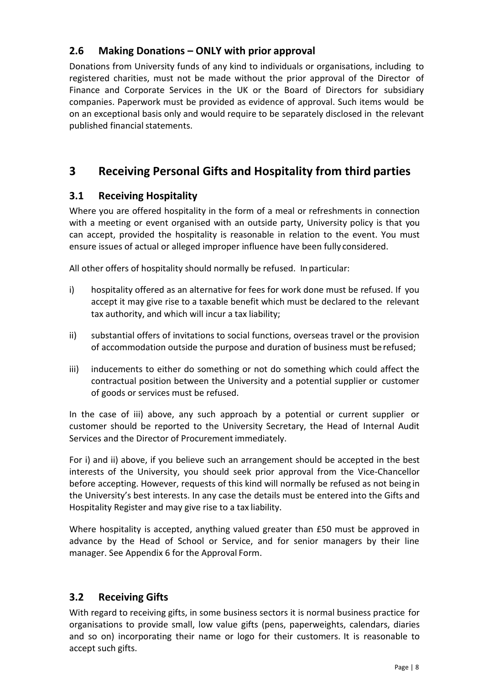# <span id="page-7-0"></span>**2.6 Making Donations – ONLY with prior approval**

Donations from University funds of any kind to individuals or organisations, including to registered charities, must not be made without the prior approval of the Director of Finance and Corporate Services in the UK or the Board of Directors for subsidiary companies. Paperwork must be provided as evidence of approval. Such items would be on an exceptional basis only and would require to be separately disclosed in the relevant published financial statements.

# <span id="page-7-1"></span>**3 Receiving Personal Gifts and Hospitality from third parties**

# <span id="page-7-2"></span>**3.1 Receiving Hospitality**

Where you are offered hospitality in the form of a meal or refreshments in connection with a meeting or event organised with an outside party, University policy is that you can accept, provided the hospitality is reasonable in relation to the event. You must ensure issues of actual or alleged improper influence have been fully considered.

All other offers of hospitality should normally be refused. Inparticular:

- i) hospitality offered as an alternative for fees for work done must be refused. If you accept it may give rise to a taxable benefit which must be declared to the relevant tax authority, and which will incur a tax liability;
- ii) substantial offers of invitations to social functions, overseas travel or the provision of accommodation outside the purpose and duration of business must be refused;
- iii) inducements to either do something or not do something which could affect the contractual position between the University and a potential supplier or customer of goods or services must be refused.

In the case of iii) above, any such approach by a potential or current supplier or customer should be reported to the University Secretary, the Head of Internal Audit Services and the Director of Procurement immediately.

For i) and ii) above, if you believe such an arrangement should be accepted in the best interests of the University, you should seek prior approval from the Vice-Chancellor before accepting. However, requests of this kind will normally be refused as not being in the University's best interests. In any case the details must be entered into the Gifts and Hospitality Register and may give rise to a tax liability.

Where hospitality is accepted, anything valued greater than £50 must be approved in advance by the Head of School or Service, and for senior managers by their line manager. See Appendix 6 for the Approval Form.

# <span id="page-7-3"></span>**3.2 Receiving Gifts**

With regard to receiving gifts, in some business sectors it is normal business practice for organisations to provide small, low value gifts (pens, paperweights, calendars, diaries and so on) incorporating their name or logo for their customers. It is reasonable to accept such gifts.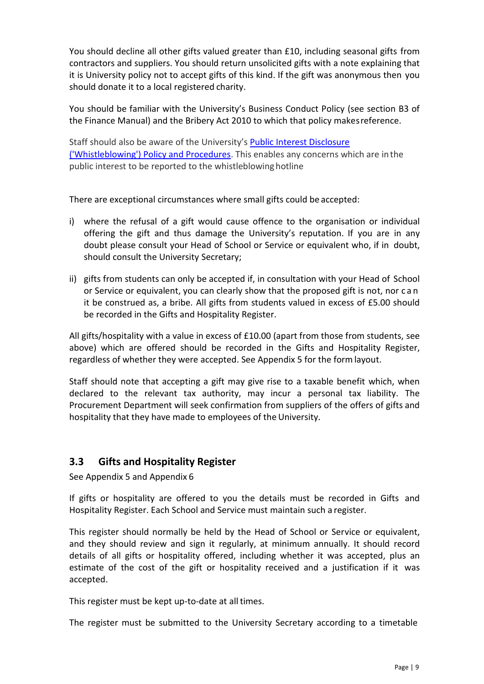You should decline all other gifts valued greater than £10, including seasonal gifts from contractors and suppliers. You should return unsolicited gifts with a note explaining that it is University policy not to accept gifts of this kind. If the gift was anonymous then you should donate it to a local registered charity.

You should be familiar with the University's Business Conduct Policy (see section B3 of the Finance Manual) and the Bribery Act 2010 to which that policy makesreference.

Staff should also be aware of the University's **[Public Interest](http://www.reading.ac.uk/nmsruntime/saveasdialog.aspx?lID=74836&sID=232300) Disclosure** [\('Whistleblowing'\) Policy and Procedures.](http://www.reading.ac.uk/nmsruntime/saveasdialog.aspx?lID=74836&sID=232300) This enables any concerns which are inthe public interest to be reported to the whistleblowinghotline

There are exceptional circumstances where small gifts could be accepted:

- i) where the refusal of a gift would cause offence to the organisation or individual offering the gift and thus damage the University's reputation. If you are in any doubt please consult your Head of School or Service or equivalent who, if in doubt, should consult the University Secretary;
- ii) gifts from students can only be accepted if, in consultation with your Head of School or Service or equivalent, you can clearly show that the proposed gift is not, nor c a n it be construed as, a bribe. All gifts from students valued in excess of £5.00 should be recorded in the Gifts and Hospitality Register.

All gifts/hospitality with a value in excess of £10.00 (apart from those from students, see above) which are offered should be recorded in the Gifts and Hospitality Register, regardless of whether they were accepted. See Appendix 5 for the formlayout.

Staff should note that accepting a gift may give rise to a taxable benefit which, when declared to the relevant tax authority, may incur a personal tax liability. The Procurement Department will seek confirmation from suppliers of the offers of gifts and hospitality that they have made to employees of the University.

# <span id="page-8-0"></span>**3.3 Gifts and Hospitality Register**

See Appendix 5 and Appendix 6

If gifts or hospitality are offered to you the details must be recorded in Gifts and Hospitality Register. Each School and Service must maintain such a register.

This register should normally be held by the Head of School or Service or equivalent, and they should review and sign it regularly, at minimum annually. It should record details of all gifts or hospitality offered, including whether it was accepted, plus an estimate of the cost of the gift or hospitality received and a justification if it was accepted.

This register must be kept up-to-date at all times.

The register must be submitted to the University Secretary according to a timetable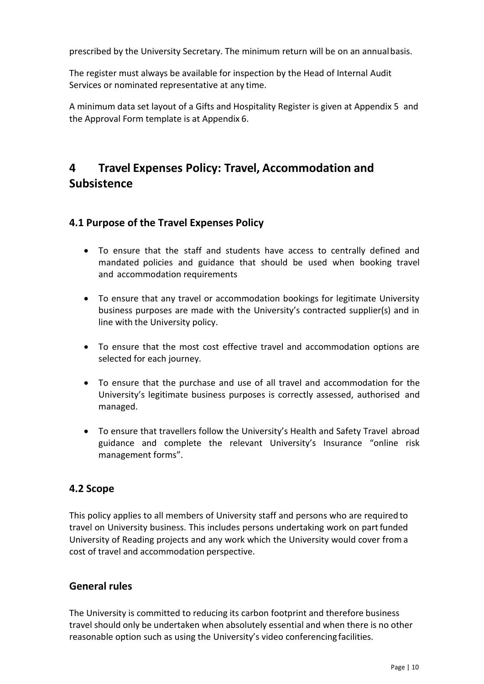prescribed by the University Secretary. The minimum return will be on an annualbasis.

The register must always be available for inspection by the Head of Internal Audit Services or nominated representative at any time.

A minimum data set layout of a Gifts and Hospitality Register is given at Appendix 5 and the Approval Form template is at Appendix 6.

# <span id="page-9-0"></span>**4 Travel Expenses Policy: Travel, Accommodation and Subsistence**

#### <span id="page-9-1"></span>**4.1 Purpose of the Travel Expenses Policy**

- To ensure that the staff and students have access to centrally defined and mandated policies and guidance that should be used when booking travel and accommodation requirements
- To ensure that any travel or accommodation bookings for legitimate University business purposes are made with the University's contracted supplier(s) and in line with the University policy.
- To ensure that the most cost effective travel and accommodation options are selected for each journey.
- To ensure that the purchase and use of all travel and accommodation for the University's legitimate business purposes is correctly assessed, authorised and managed.
- To ensure that travellers follow the University's Health and Safety Travel abroad guidance and complete the relevant University's Insurance "online risk management forms".

#### <span id="page-9-2"></span>**4.2 Scope**

This policy applies to all members of University staff and persons who are required to travel on University business. This includes persons undertaking work on partfunded University of Reading projects and any work which the University would cover from a cost of travel and accommodation perspective.

## <span id="page-9-3"></span>**General rules**

The University is committed to reducing its carbon footprint and therefore business travel should only be undertaken when absolutely essential and when there is no other reasonable option such as using the University's video conferencing facilities.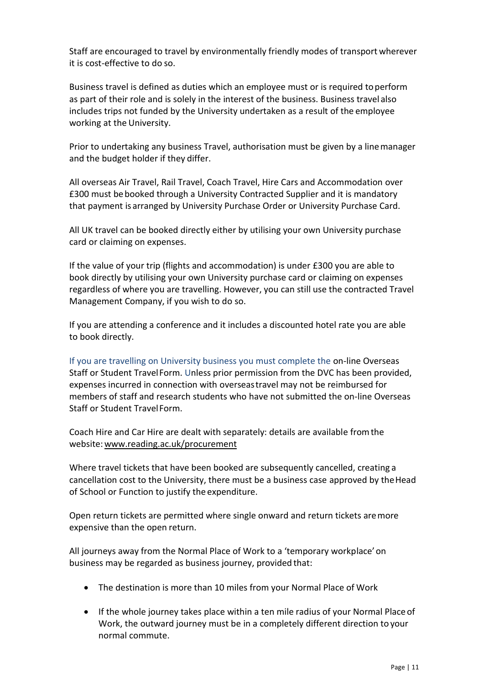Staff are encouraged to travel by environmentally friendly modes of transport wherever it is cost-effective to do so.

Business travel is defined as duties which an employee must or is required toperform as part of their role and is solely in the interest of the business. Business travel also includes trips not funded by the University undertaken as a result of the employee working at the University.

Prior to undertaking any business Travel, authorisation must be given by a linemanager and the budget holder if they differ.

All overseas Air Travel, Rail Travel, Coach Travel, Hire Cars and Accommodation over £300 must bebooked through a University Contracted Supplier and it is mandatory that payment is arranged by University Purchase Order or University Purchase Card.

All UK travel can be booked directly either by utilising your own University purchase card or claiming on expenses.

If the value of your trip (flights and accommodation) is under £300 you are able to book directly by utilising your own University purchase card or claiming on expenses regardless of where you are travelling. However, you can still use the contracted Travel Management Company, if you wish to do so.

If you are attending a conference and it includes a discounted hotel rate you are able to book directly.

If you are travelling on University business you must complete the on-line Overseas Staff or Student TravelForm. Unless prior permission from the DVC has been provided, expenses incurred in connection with overseastravel may not be reimbursed for members of staff and research students who have not submitted the on-line Overseas Staff or Student TravelForm.

Coach Hire and Car Hire are dealt with separately: details are available fromthe website[:www.reading.ac.uk/procurement](http://www.reading.ac.uk/procurement)

Where travel tickets that have been booked are subsequently cancelled, creating a cancellation cost to the University, there must be a business case approved by theHead of School or Function to justify the expenditure.

Open return tickets are permitted where single onward and return tickets aremore expensive than the open return.

All journeys away from the Normal Place of Work to a 'temporary workplace'on business may be regarded as business journey, provided that:

- The destination is more than 10 miles from your Normal Place of Work
- If the whole journey takes place within a ten mile radius of your Normal Place of Work, the outward journey must be in a completely different direction to your normal commute.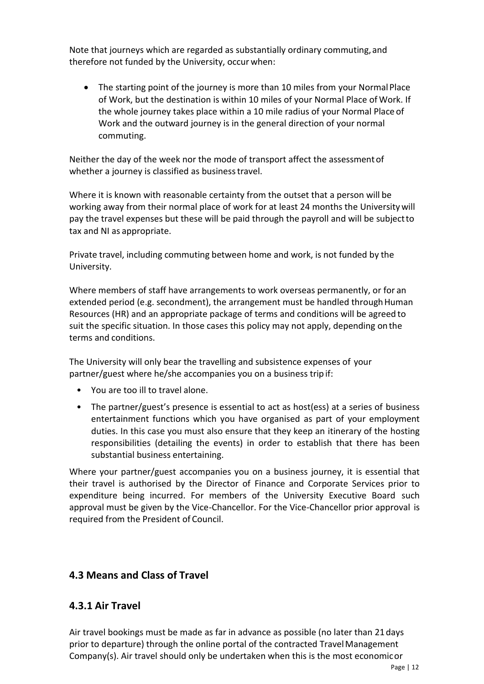Note that journeys which are regarded as substantially ordinary commuting,and therefore not funded by the University, occur when:

• The starting point of the journey is more than 10 miles from your Normal Place of Work, but the destination is within 10 miles of your Normal Place of Work. If the whole journey takes place within a 10 mile radius of your Normal Place of Work and the outward journey is in the general direction of your normal commuting.

Neither the day of the week nor the mode of transport affect the assessmentof whether a journey is classified as business travel.

Where it is known with reasonable certainty from the outset that a person will be working away from their normal place of work for at least 24 months the Universitywill pay the travel expenses but these will be paid through the payroll and will be subjectto tax and NI as appropriate.

Private travel, including commuting between home and work, is not funded by the University.

Where members of staff have arrangements to work overseas permanently, or for an extended period (e.g. secondment), the arrangement must be handled through Human Resources (HR) and an appropriate package of terms and conditions will be agreed to suit the specific situation. In those cases this policy may not apply, depending onthe terms and conditions.

The University will only bear the travelling and subsistence expenses of your partner/guest where he/she accompanies you on a business trip if:

- You are too ill to travel alone.
- The partner/guest's presence is essential to act as host(ess) at a series of business entertainment functions which you have organised as part of your employment duties. In this case you must also ensure that they keep an itinerary of the hosting responsibilities (detailing the events) in order to establish that there has been substantial business entertaining.

Where your partner/guest accompanies you on a business journey, it is essential that their travel is authorised by the Director of Finance and Corporate Services prior to expenditure being incurred. For members of the University Executive Board such approval must be given by the Vice-Chancellor. For the Vice-Chancellor prior approval is required from the President of Council.

# <span id="page-11-0"></span>**4.3 Means and Class of Travel**

#### **4.3.1 Air Travel**

Air travel bookings must be made as far in advance as possible (no later than 21days prior to departure) through the online portal of the contracted TravelManagement Company(s). Air travel should only be undertaken when this is the most economicor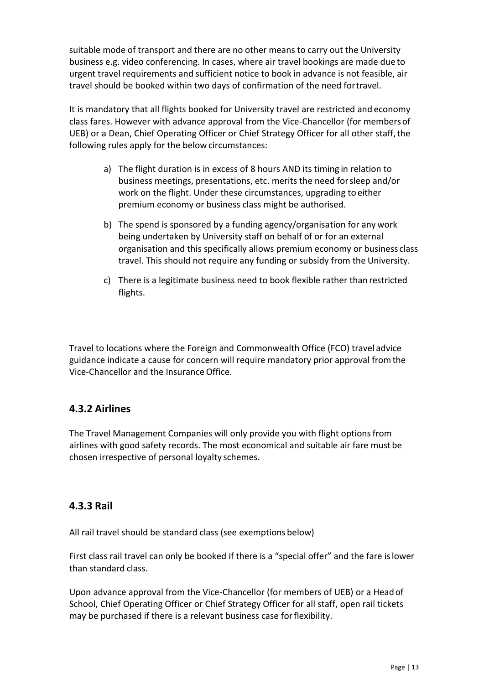suitable mode of transport and there are no other means to carry out the University business e.g. video conferencing. In cases, where air travel bookings are made due to urgent travel requirements and sufficient notice to book in advance is not feasible, air travel should be booked within two days of confirmation of the need fortravel.

It is mandatory that all flights booked for University travel are restricted and economy class fares. However with advance approval from the Vice-Chancellor (for membersof UEB) or a Dean, Chief Operating Officer or Chief Strategy Officer for all other staff, the following rules apply for the below circumstances:

- a) The flight duration is in excess of 8 hours AND its timing in relation to business meetings, presentations, etc. merits the need forsleep and/or work on the flight. Under these circumstances, upgrading to either premium economy or business class might be authorised.
- b) The spend is sponsored by a funding agency/organisation for any work being undertaken by University staff on behalf of or for an external organisation and this specifically allows premium economy or business class travel. This should not require any funding or subsidy from the University.
- c) There is a legitimate business need to book flexible rather than restricted flights.

Travel to locations where the Foreign and Commonwealth Office (FCO) travel advice guidance indicate a cause for concern will require mandatory prior approval fromthe Vice-Chancellor and the InsuranceOffice.

#### **4.3.2 Airlines**

The Travel Management Companies will only provide you with flight optionsfrom airlines with good safety records. The most economical and suitable air fare must be chosen irrespective of personal loyalty schemes.

#### **4.3.3 Rail**

All rail travel should be standard class (see exemptions below)

First class rail travel can only be booked if there is a "special offer" and the fare islower than standard class.

Upon advance approval from the Vice-Chancellor (for members of UEB) or a Headof School, Chief Operating Officer or Chief Strategy Officer for all staff, open rail tickets may be purchased if there is a relevant business case forflexibility.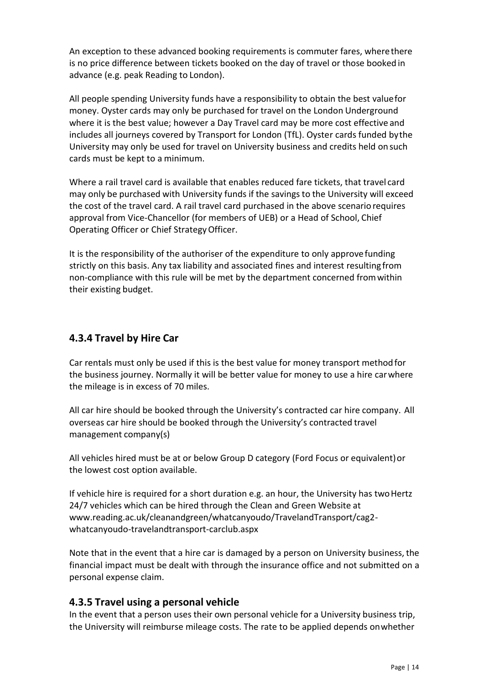An exception to these advanced booking requirements is commuter fares, where there is no price difference between tickets booked on the day of travel or those booked in advance (e.g. peak Reading to London).

All people spending University funds have a responsibility to obtain the best valuefor money. Oyster cards may only be purchased for travel on the London Underground where it is the best value; however a Day Travel card may be more cost effective and includes all journeys covered by Transport for London (TfL). Oyster cards funded bythe University may only be used for travel on University business and credits held on such cards must be kept to a minimum.

Where a rail travel card is available that enables reduced fare tickets, that travel card may only be purchased with University funds if the savings to the University will exceed the cost of the travel card. A rail travel card purchased in the above scenario requires approval from Vice-Chancellor (for members of UEB) or a Head of School, Chief Operating Officer or Chief StrategyOfficer.

It is the responsibility of the authoriser of the expenditure to only approve funding strictly on this basis. Any tax liability and associated fines and interest resulting from non-compliance with this rule will be met by the department concerned fromwithin their existing budget.

# **4.3.4 Travel by Hire Car**

Car rentals must only be used if this is the best value for money transport methodfor the business journey. Normally it will be better value for money to use a hire carwhere the mileage is in excess of 70 miles.

All car hire should be booked through the University's contracted car hire company. All overseas car hire should be booked through the University's contracted travel management company(s)

All vehicles hired must be at or below Group D category (Ford Focus or equivalent)or the lowest cost option available.

If vehicle hire is required for a short duration e.g. an hour, the University has two Hertz 24/7 vehicles which can be hired through the Clean and Green Website at [www.reading.ac.uk/cleanandgreen/whatcanyoudo/TravelandTransport/cag2](http://www.reading.ac.uk/cleanandgreen/whatcanyoudo/TravelandTransport/cag2-whatcanyoudo-travelandtransport-carclub.aspx) [whatcanyoudo-travelandtransport-carclub.aspx](http://www.reading.ac.uk/cleanandgreen/whatcanyoudo/TravelandTransport/cag2-whatcanyoudo-travelandtransport-carclub.aspx)

Note that in the event that a hire car is damaged by a person on University business, the financial impact must be dealt with through the insurance office and not submitted on a personal expense claim.

# **4.3.5 Travel using a personal vehicle**

In the event that a person uses their own personal vehicle for a University business trip, the University will reimburse mileage costs. The rate to be applied depends onwhether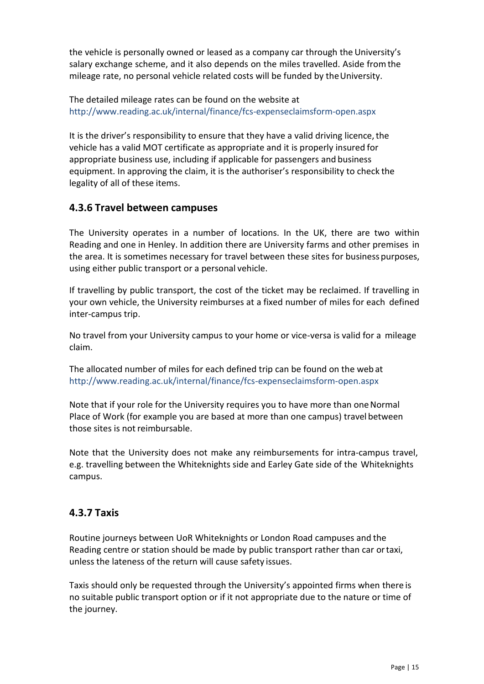the vehicle is personally owned or leased as a company car through the University's salary exchange scheme, and it also depends on the miles travelled. Aside fromthe mileage rate, no personal vehicle related costs will be funded by the University.

The detailed mileage rates can be found on the website at <http://www.reading.ac.uk/internal/finance/fcs-expenseclaimsform-open.aspx>

It is the driver's responsibility to ensure that they have a valid driving licence, the vehicle has a valid MOT certificate as appropriate and it is properly insured for appropriate business use, including if applicable for passengers and business equipment. In approving the claim, it is the authoriser's responsibility to check the legality of all of these items.

## **4.3.6 Travel between campuses**

The University operates in a number of locations. In the UK, there are two within Reading and one in Henley. In addition there are University farms and other premises in the area. It is sometimes necessary for travel between these sites for business purposes, using either public transport or a personal vehicle.

If travelling by public transport, the cost of the ticket may be reclaimed. If travelling in your own vehicle, the University reimburses at a fixed number of miles for each defined inter-campus trip.

No travel from your University campus to your home or vice-versa is valid for a mileage claim.

The allocated number of miles for each defined trip can be found on the web at <http://www.reading.ac.uk/internal/finance/fcs-expenseclaimsform-open.aspx>

Note that if your role for the University requires you to have more than one Normal Place of Work (for example you are based at more than one campus) travel between those sites is not reimbursable.

Note that the University does not make any reimbursements for intra-campus travel, e.g. travelling between the Whiteknights side and Earley Gate side of the Whiteknights campus.

#### **4.3.7 Taxis**

Routine journeys between UoR Whiteknights or London Road campuses and the Reading centre or station should be made by public transport rather than car ortaxi, unless the lateness of the return will cause safety issues.

Taxis should only be requested through the University's appointed firms when there is no suitable public transport option or if it not appropriate due to the nature or time of the journey.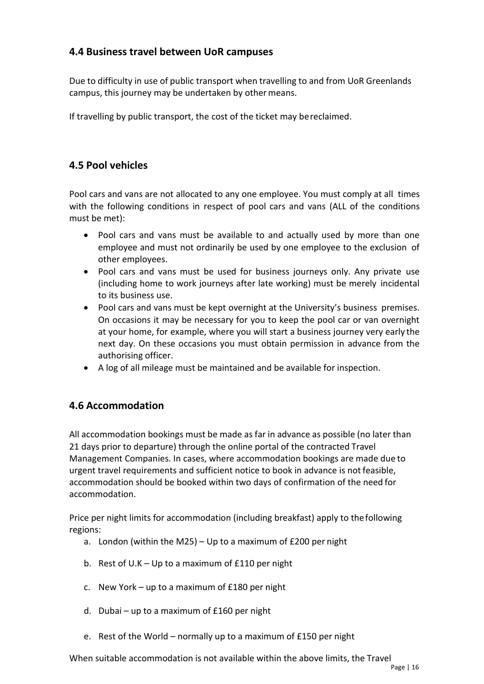## <span id="page-15-0"></span>**4.4 Business travel between UoR campuses**

Due to difficulty in use of public transport when travelling to and from UoR Greenlands campus, this journey may be undertaken by other means.

If travelling by public transport, the cost of the ticket may bereclaimed.

# <span id="page-15-1"></span>**4.5 Pool vehicles**

Pool cars and vans are not allocated to any one employee. You must comply at all times with the following conditions in respect of pool cars and vans (ALL of the conditions must be met):

- Pool cars and vans must be available to and actually used by more than one employee and must not ordinarily be used by one employee to the exclusion of other employees.
- Pool cars and vans must be used for business journeys only. Any private use (including home to work journeys after late working) must be merely incidental to its business use.
- Pool cars and vans must be kept overnight at the University's business premises. On occasions it may be necessary for you to keep the pool car or van overnight at your home, for example, where you will start a business journey very early the next day. On these occasions you must obtain permission in advance from the authorising officer.
- A log of all mileage must be maintained and be available for inspection.

#### <span id="page-15-2"></span>**4.6 Accommodation**

All accommodation bookings must be made as far in advance as possible (no later than 21 days prior to departure) through the online portal of the contracted Travel Management Companies. In cases, where accommodation bookings are made due to urgent travel requirements and sufficient notice to book in advance is not feasible, accommodation should be booked within two days of confirmation of the need for accommodation.

Price per night limits for accommodation (including breakfast) apply to thefollowing regions:

- a. London (within the M25) Up to a maximum of £200 per night
- b. Rest of U.K Up to a maximum of £110 per night
- c. New York up to a maximum of £180 per night
- d. Dubai up to a maximum of £160 per night
- e. Rest of the World normally up to a maximum of £150 per night

When suitable accommodation is not available within the above limits, the Travel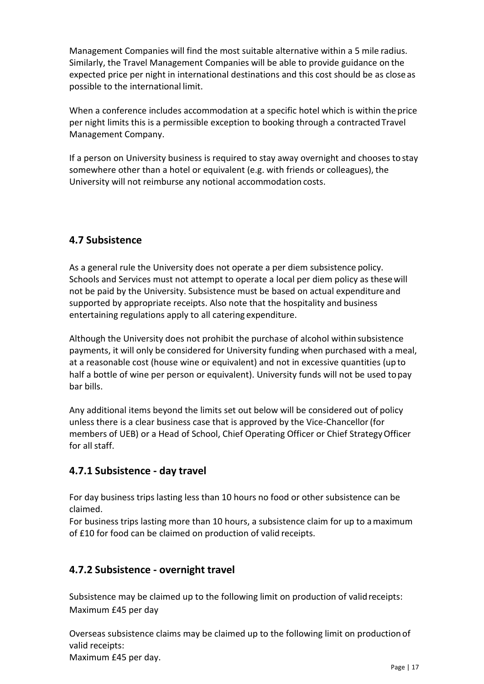Management Companies will find the most suitable alternative within a 5 mile radius. Similarly, the Travel Management Companies will be able to provide guidance on the expected price per night in international destinations and this cost should be as closeas possible to the international limit.

When a conference includes accommodation at a specific hotel which is within theprice per night limits this is a permissible exception to booking through a contracted Travel Management Company.

If a person on University business is required to stay away overnight and chooses to stay somewhere other than a hotel or equivalent (e.g. with friends or colleagues), the University will not reimburse any notional accommodation costs.

# <span id="page-16-0"></span>**4.7 Subsistence**

As a general rule the University does not operate a per diem subsistence policy. Schools and Services must not attempt to operate a local per diem policy as thesewill not be paid by the University. Subsistence must be based on actual expenditure and supported by appropriate receipts. Also note that the hospitality and business entertaining regulations apply to all catering expenditure.

Although the University does not prohibit the purchase of alcohol within subsistence payments, it will only be considered for University funding when purchased with a meal, at a reasonable cost (house wine or equivalent) and not in excessive quantities (up to half a bottle of wine per person or equivalent). University funds will not be used topay bar bills.

Any additional items beyond the limits set out below will be considered out of policy unless there is a clear business case that is approved by the Vice-Chancellor(for members of UEB) or a Head of School, Chief Operating Officer or Chief StrategyOfficer for all staff.

# **4.7.1 Subsistence - day travel**

For day business trips lasting less than 10 hours no food or other subsistence can be claimed.

For business trips lasting more than 10 hours, a subsistence claim for up to amaximum of £10 for food can be claimed on production of valid receipts.

# **4.7.2 Subsistence - overnight travel**

Subsistence may be claimed up to the following limit on production of validreceipts: Maximum £45 per day

Overseas subsistence claims may be claimed up to the following limit on production of valid receipts:

Maximum £45 per day.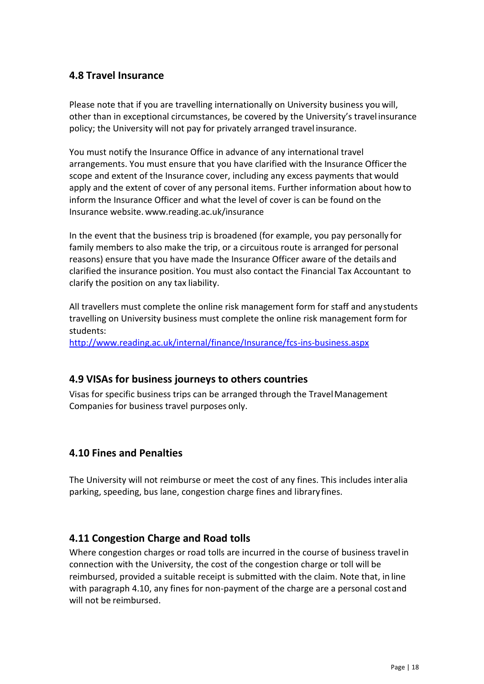## <span id="page-17-0"></span>**4.8 Travel Insurance**

Please note that if you are travelling internationally on University business you will, other than in exceptional circumstances, be covered by the University's travel insurance policy; the University will not pay for privately arranged travel insurance.

You must notify the Insurance Office in advance of any international travel arrangements. You must ensure that you have clarified with the Insurance Officerthe scope and extent of the Insurance cover, including any excess payments that would apply and the extent of cover of any personal items. Further information about howto inform the Insurance Officer and what the level of cover is can be found on the Insurance website. [www.reading.ac.uk/insurance](http://www.reading.ac.uk/insurance)

In the event that the business trip is broadened (for example, you pay personally for family members to also make the trip, or a circuitous route is arranged for personal reasons) ensure that you have made the Insurance Officer aware of the details and clarified the insurance position. You must also contact the Financial Tax Accountant to clarify the position on any tax liability.

All travellers must complete the online risk management form for staff and anystudents travelling on University business must complete the online risk management form for students:

<http://www.reading.ac.uk/internal/finance/Insurance/fcs-ins-business.aspx>

#### <span id="page-17-1"></span>**4.9 VISAs for business journeys to others countries**

Visas for specific business trips can be arranged through the TravelManagement Companies for business travel purposes only.

#### <span id="page-17-2"></span>**4.10 Fines and Penalties**

The University will not reimburse or meet the cost of any fines. This includes inter alia parking, speeding, bus lane, congestion charge fines and libraryfines.

#### <span id="page-17-3"></span>**4.11 Congestion Charge and Road tolls**

Where congestion charges or road tolls are incurred in the course of business travel in connection with the University, the cost of the congestion charge or toll will be reimbursed, provided a suitable receipt is submitted with the claim. Note that, in line with paragraph 4.10, any fines for non-payment of the charge are a personal cost and will not be reimbursed.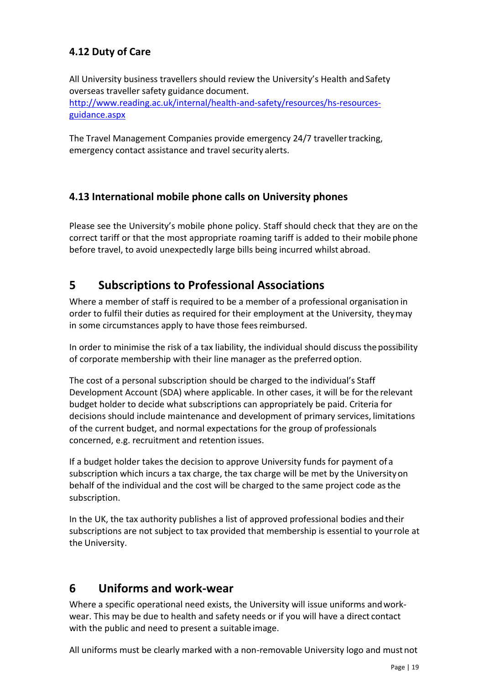# <span id="page-18-0"></span>**4.12 Duty of Care**

All University business travellers should review the University's Health and Safety overseas traveller safety guidance document. [http://www.reading.ac.uk/internal/health-and-safety/resources/hs-resources](http://www.reading.ac.uk/internal/health-and-safety/resources/hs-resources-guidance.aspx)[guidance.aspx](http://www.reading.ac.uk/internal/health-and-safety/resources/hs-resources-guidance.aspx)

The Travel Management Companies provide emergency 24/7 travellertracking, emergency contact assistance and travel security alerts.

# <span id="page-18-1"></span>**4.13 International mobile phone calls on University phones**

Please see the University's mobile phone policy. Staff should check that they are on the correct tariff or that the most appropriate roaming tariff is added to their mobile phone before travel, to avoid unexpectedly large bills being incurred whilst abroad.

# <span id="page-18-2"></span>**5 Subscriptions to Professional Associations**

Where a member of staff is required to be a member of a professional organisation in order to fulfil their duties as required for their employment at the University, theymay in some circumstances apply to have those feesreimbursed.

In order to minimise the risk of a tax liability, the individual should discuss the possibility of corporate membership with their line manager as the preferred option.

The cost of a personal subscription should be charged to the individual's Staff Development Account (SDA) where applicable. In other cases, it will be for the relevant budget holder to decide what subscriptions can appropriately be paid. Criteria for decisions should include maintenance and development of primary services, limitations of the current budget, and normal expectations for the group of professionals concerned, e.g. recruitment and retention issues.

If a budget holder takes the decision to approve University funds for payment of a subscription which incurs a tax charge, the tax charge will be met by the Universityon behalf of the individual and the cost will be charged to the same project code asthe subscription.

In the UK, the tax authority publishes a list of approved professional bodies and their subscriptions are not subject to tax provided that membership is essential to yourrole at the University.

# <span id="page-18-3"></span>**6 Uniforms and work-wear**

Where a specific operational need exists, the University will issue uniforms andworkwear. This may be due to health and safety needs or if you will have a direct contact with the public and need to present a suitable image.

All uniforms must be clearly marked with a non-removable University logo and mustnot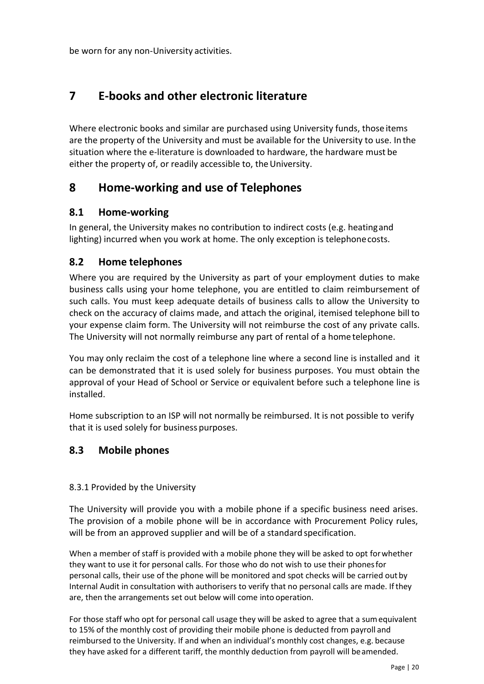be worn for any non-University activities.

# <span id="page-19-0"></span>**7 E-books and other electronic literature**

Where electronic books and similar are purchased using University funds, those items are the property of the University and must be available for the University to use. Inthe situation where the e-literature is downloaded to hardware, the hardware must be either the property of, or readily accessible to, the University.

# <span id="page-19-1"></span>**8 Home-working and use of Telephones**

#### <span id="page-19-2"></span>**8.1 Home-working**

In general, the University makes no contribution to indirect costs (e.g. heatingand lighting) incurred when you work at home. The only exception is telephonecosts.

#### <span id="page-19-3"></span>**8.2 Home telephones**

Where you are required by the University as part of your employment duties to make business calls using your home telephone, you are entitled to claim reimbursement of such calls. You must keep adequate details of business calls to allow the University to check on the accuracy of claims made, and attach the original, itemised telephone bill to your expense claim form. The University will not reimburse the cost of any private calls. The University will not normally reimburse any part of rental of a home telephone.

You may only reclaim the cost of a telephone line where a second line is installed and it can be demonstrated that it is used solely for business purposes. You must obtain the approval of your Head of School or Service or equivalent before such a telephone line is installed.

Home subscription to an ISP will not normally be reimbursed. It is not possible to verify that it is used solely for business purposes.

#### <span id="page-19-4"></span>**8.3 Mobile phones**

#### 8.3.1 Provided by the University

The University will provide you with a mobile phone if a specific business need arises. The provision of a mobile phone will be in accordance with Procurement Policy rules, will be from an approved supplier and will be of a standard specification.

When a member of staff is provided with a mobile phone they will be asked to opt forwhether they want to use it for personal calls. For those who do not wish to use their phonesfor personal calls, their use of the phone will be monitored and spot checks will be carried outby Internal Audit in consultation with authorisers to verify that no personal calls are made. Ifthey are, then the arrangements set out below will come into operation.

For those staff who opt for personal call usage they will be asked to agree that a sumequivalent to 15% of the monthly cost of providing their mobile phone is deducted from payroll and reimbursed to the University. If and when an individual's monthly cost changes, e.g. because they have asked for a different tariff, the monthly deduction from payroll will beamended.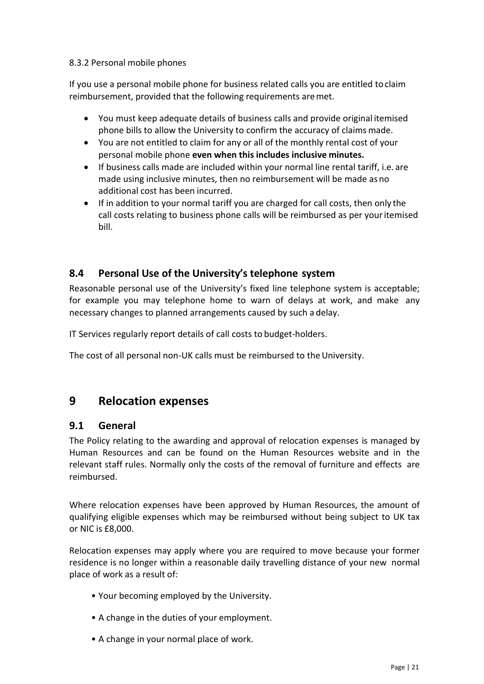#### 8.3.2 Personal mobile phones

If you use a personal mobile phone for business related calls you are entitled toclaim reimbursement, provided that the following requirements aremet.

- You must keep adequate details of business calls and provide original itemised phone bills to allow the University to confirm the accuracy of claims made.
- You are not entitled to claim for any or all of the monthly rental cost of your personal mobile phone **even when this includes inclusive minutes.**
- If business calls made are included within your normal line rental tariff, i.e. are made using inclusive minutes, then no reimbursement will be made asno additional cost has been incurred.
- If in addition to your normal tariff you are charged for call costs, then only the call costs relating to business phone calls will be reimbursed as per youritemised bill.

## <span id="page-20-0"></span>**8.4 Personal Use of the University's telephone system**

Reasonable personal use of the University's fixed line telephone system is acceptable; for example you may telephone home to warn of delays at work, and make any necessary changes to planned arrangements caused by such a delay.

IT Services regularly report details of call costs to budget-holders.

The cost of all personal non-UK calls must be reimbursed to the University.

# <span id="page-20-1"></span>**9 Relocation expenses**

#### <span id="page-20-2"></span>**9.1 General**

The Policy relating to the awarding and approval of relocation expenses is managed by Human Resources and can be found on the Human Resources website and in the relevant staff rules. Normally only the costs of the removal of furniture and effects are reimbursed.

Where relocation expenses have been approved by Human Resources, the amount of qualifying eligible expenses which may be reimbursed without being subject to UK tax or NIC is £8,000.

Relocation expenses may apply where you are required to move because your former residence is no longer within a reasonable daily travelling distance of your new normal place of work as a result of:

- Your becoming employed by the University.
- A change in the duties of your employment.
- A change in your normal place of work.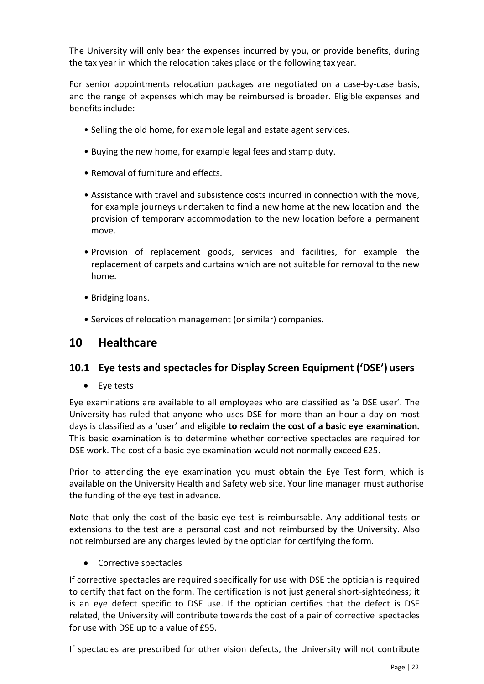The University will only bear the expenses incurred by you, or provide benefits, during the tax year in which the relocation takes place or the following tax year.

For senior appointments relocation packages are negotiated on a case-by-case basis, and the range of expenses which may be reimbursed is broader. Eligible expenses and benefits include:

- Selling the old home, for example legal and estate agent services.
- Buying the new home, for example legal fees and stamp duty.
- Removal of furniture and effects.
- Assistance with travel and subsistence costs incurred in connection with themove, for example journeys undertaken to find a new home at the new location and the provision of temporary accommodation to the new location before a permanent move.
- Provision of replacement goods, services and facilities, for example the replacement of carpets and curtains which are not suitable for removal to the new home.
- Bridging loans.
- Services of relocation management (or similar) companies.

# <span id="page-21-0"></span>**10 Healthcare**

#### <span id="page-21-1"></span>**10.1 Eye tests and spectacles for Display Screen Equipment ('DSE') users**

• Eye tests

Eye examinations are available to all employees who are classified as 'a DSE user'. The University has ruled that anyone who uses DSE for more than an hour a day on most days is classified as a 'user' and eligible **to reclaim the cost of a basic eye examination.**  This basic examination is to determine whether corrective spectacles are required for DSE work. The cost of a basic eye examination would not normally exceed £25.

Prior to attending the eye examination you must obtain the Eye Test form, which is available on the University Health and Safety web site. Your line manager must authorise the funding of the eye test in advance.

Note that only the cost of the basic eye test is reimbursable. Any additional tests or extensions to the test are a personal cost and not reimbursed by the University. Also not reimbursed are any charges levied by the optician for certifying the form.

Corrective spectacles

If corrective spectacles are required specifically for use with DSE the optician is required to certify that fact on the form. The certification is not just general short-sightedness; it is an eye defect specific to DSE use. If the optician certifies that the defect is DSE related, the University will contribute towards the cost of a pair of corrective spectacles for use with DSE up to a value of £55.

If spectacles are prescribed for other vision defects, the University will not contribute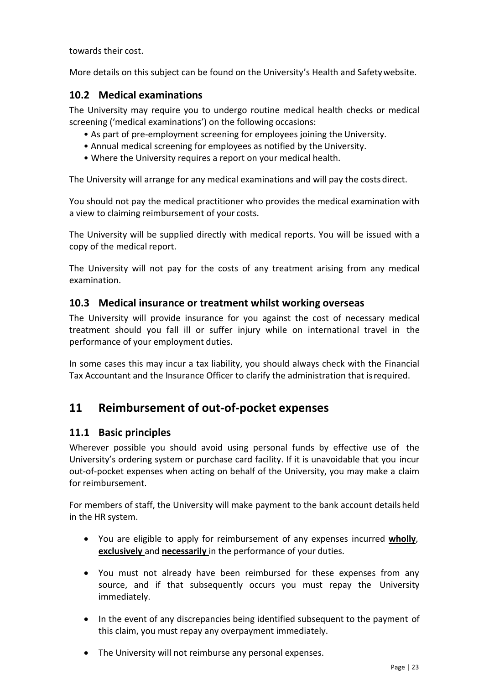towards their cost.

More details on this subject can be found on the University's Health and Safetywebsite.

### <span id="page-22-0"></span>**10.2 Medical examinations**

The University may require you to undergo routine medical health checks or medical screening ('medical examinations') on the following occasions:

- As part of pre-employment screening for employees joining the University.
- Annual medical screening for employees as notified by the University.
- Where the University requires a report on your medical health.

The University will arrange for any medical examinations and will pay the costs direct.

You should not pay the medical practitioner who provides the medical examination with a view to claiming reimbursement of your costs.

The University will be supplied directly with medical reports. You will be issued with a copy of the medical report.

The University will not pay for the costs of any treatment arising from any medical examination.

#### <span id="page-22-1"></span>**10.3 Medical insurance or treatment whilst working overseas**

The University will provide insurance for you against the cost of necessary medical treatment should you fall ill or suffer injury while on international travel in the performance of your employment duties.

In some cases this may incur a tax liability, you should always check with the Financial Tax Accountant and the Insurance Officer to clarify the administration that isrequired.

# <span id="page-22-2"></span>**11 Reimbursement of out-of-pocket expenses**

#### <span id="page-22-3"></span>**11.1 Basic principles**

Wherever possible you should avoid using personal funds by effective use of the University's ordering system or purchase card facility. If it is unavoidable that you incur out-of-pocket expenses when acting on behalf of the University, you may make a claim for reimbursement.

For members of staff, the University will make payment to the bank account details held in the HR system.

- You are eligible to apply for reimbursement of any expenses incurred **wholly**, **exclusively** and **necessarily** in the performance of your duties.
- You must not already have been reimbursed for these expenses from any source, and if that subsequently occurs you must repay the University immediately.
- In the event of any discrepancies being identified subsequent to the payment of this claim, you must repay any overpayment immediately.
- The University will not reimburse any personal expenses.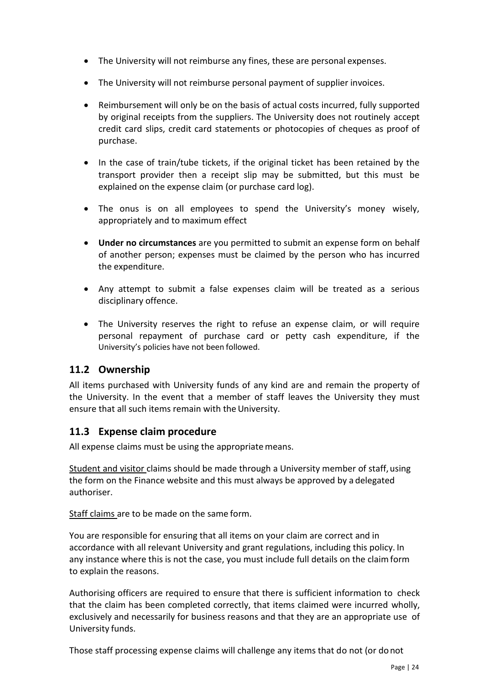- The University will not reimburse any fines, these are personal expenses.
- The University will not reimburse personal payment of supplier invoices.
- Reimbursement will only be on the basis of actual costs incurred, fully supported by original receipts from the suppliers. The University does not routinely accept credit card slips, credit card statements or photocopies of cheques as proof of purchase.
- In the case of train/tube tickets, if the original ticket has been retained by the transport provider then a receipt slip may be submitted, but this must be explained on the expense claim (or purchase card log).
- The onus is on all employees to spend the University's money wisely, appropriately and to maximum effect
- **Under no circumstances** are you permitted to submit an expense form on behalf of another person; expenses must be claimed by the person who has incurred the expenditure.
- Any attempt to submit a false expenses claim will be treated as a serious disciplinary offence.
- The University reserves the right to refuse an expense claim, or will require personal repayment of purchase card or petty cash expenditure, if the University's policies have not been followed.

#### <span id="page-23-0"></span>**11.2 Ownership**

All items purchased with University funds of any kind are and remain the property of the University. In the event that a member of staff leaves the University they must ensure that all such items remain with the University.

#### <span id="page-23-1"></span>**11.3 Expense claim procedure**

All expense claims must be using the appropriate means.

Student and visitor claims should be made through a University member of staff, using the form on the Finance website and this must always be approved by a delegated authoriser.

Staff claims are to be made on the same form.

You are responsible for ensuring that all items on your claim are correct and in accordance with all relevant University and grant regulations, including this policy. In any instance where this is not the case, you must include full details on the claimform to explain the reasons.

Authorising officers are required to ensure that there is sufficient information to check that the claim has been completed correctly, that items claimed were incurred wholly, exclusively and necessarily for business reasons and that they are an appropriate use of University funds.

Those staff processing expense claims will challenge any items that do not (or donot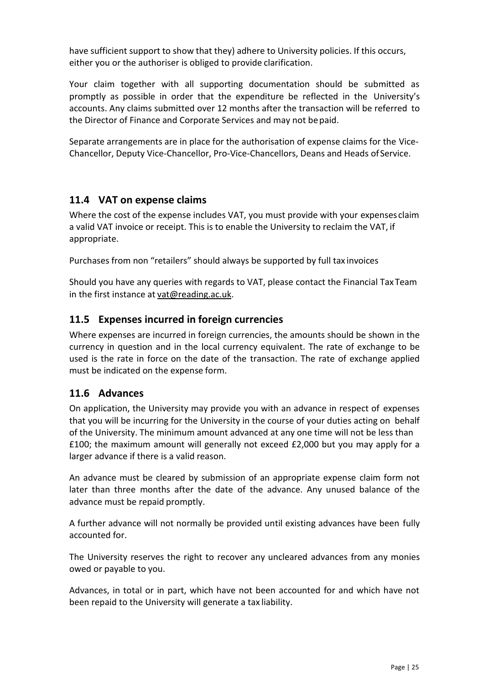have sufficient support to show that they) adhere to University policies. If this occurs, either you or the authoriser is obliged to provide clarification.

Your claim together with all supporting documentation should be submitted as promptly as possible in order that the expenditure be reflected in the University's accounts. Any claims submitted over 12 months after the transaction will be referred to the Director of Finance and Corporate Services and may not be paid.

Separate arrangements are in place for the authorisation of expense claims for the Vice-Chancellor, Deputy Vice-Chancellor, Pro-Vice-Chancellors, Deans and Heads of Service.

## <span id="page-24-0"></span>**11.4 VAT on expense claims**

Where the cost of the expense includes VAT, you must provide with your expenses claim a valid VAT invoice or receipt. This is to enable the University to reclaim the VAT, if appropriate.

Purchases from non "retailers" should always be supported by full tax invoices

Should you have any queries with regards to VAT, please contact the Financial Tax Team in the first instance at [vat@reading.ac.uk.](mailto:vat@reading.ac.uk)

## <span id="page-24-1"></span>**11.5 Expenses incurred in foreign currencies**

Where expenses are incurred in foreign currencies, the amounts should be shown in the currency in question and in the local currency equivalent. The rate of exchange to be used is the rate in force on the date of the transaction. The rate of exchange applied must be indicated on the expense form.

#### <span id="page-24-2"></span>**11.6 Advances**

On application, the University may provide you with an advance in respect of expenses that you will be incurring for the University in the course of your duties acting on behalf of the University. The minimum amount advanced at any one time will not be less than £100; the maximum amount will generally not exceed £2,000 but you may apply for a larger advance if there is a valid reason.

An advance must be cleared by submission of an appropriate expense claim form not later than three months after the date of the advance. Any unused balance of the advance must be repaid promptly.

A further advance will not normally be provided until existing advances have been fully accounted for.

The University reserves the right to recover any uncleared advances from any monies owed or payable to you.

Advances, in total or in part, which have not been accounted for and which have not been repaid to the University will generate a tax liability.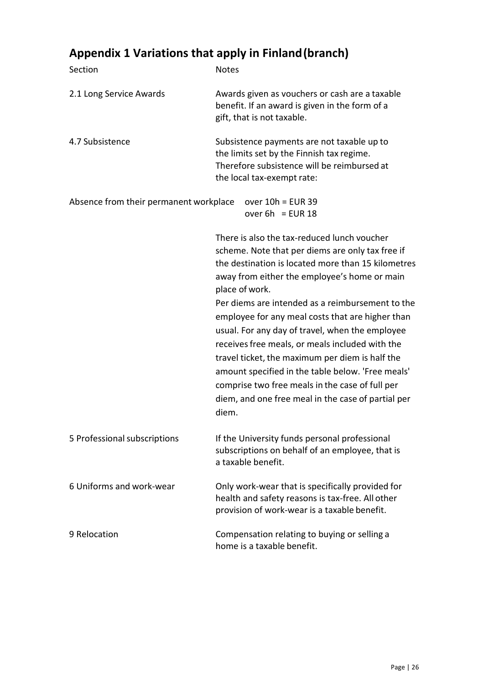# <span id="page-25-0"></span>**Appendix 1 Variations that apply in Finland(branch)**

| Section                                | <b>Notes</b>                                                                                                                                                         |                                                                                                                                                                                                                                                                                                                                                                                                                                                                                                                                                                                                                                      |  |
|----------------------------------------|----------------------------------------------------------------------------------------------------------------------------------------------------------------------|--------------------------------------------------------------------------------------------------------------------------------------------------------------------------------------------------------------------------------------------------------------------------------------------------------------------------------------------------------------------------------------------------------------------------------------------------------------------------------------------------------------------------------------------------------------------------------------------------------------------------------------|--|
| 2.1 Long Service Awards                |                                                                                                                                                                      | Awards given as vouchers or cash are a taxable<br>benefit. If an award is given in the form of a<br>gift, that is not taxable.                                                                                                                                                                                                                                                                                                                                                                                                                                                                                                       |  |
| 4.7 Subsistence                        | Subsistence payments are not taxable up to<br>the limits set by the Finnish tax regime.<br>Therefore subsistence will be reimbursed at<br>the local tax-exempt rate: |                                                                                                                                                                                                                                                                                                                                                                                                                                                                                                                                                                                                                                      |  |
| Absence from their permanent workplace |                                                                                                                                                                      | over $10h = EUR$ 39<br>over $6h$ = EUR 18                                                                                                                                                                                                                                                                                                                                                                                                                                                                                                                                                                                            |  |
|                                        | place of work.<br>diem.                                                                                                                                              | There is also the tax-reduced lunch voucher<br>scheme. Note that per diems are only tax free if<br>the destination is located more than 15 kilometres<br>away from either the employee's home or main<br>Per diems are intended as a reimbursement to the<br>employee for any meal costs that are higher than<br>usual. For any day of travel, when the employee<br>receives free meals, or meals included with the<br>travel ticket, the maximum per diem is half the<br>amount specified in the table below. 'Free meals'<br>comprise two free meals in the case of full per<br>diem, and one free meal in the case of partial per |  |
| 5 Professional subscriptions           |                                                                                                                                                                      | If the University funds personal professional<br>subscriptions on behalf of an employee, that is<br>a taxable benefit.                                                                                                                                                                                                                                                                                                                                                                                                                                                                                                               |  |
| 6 Uniforms and work-wear               |                                                                                                                                                                      | Only work-wear that is specifically provided for<br>health and safety reasons is tax-free. All other<br>provision of work-wear is a taxable benefit.                                                                                                                                                                                                                                                                                                                                                                                                                                                                                 |  |
| 9 Relocation                           |                                                                                                                                                                      | Compensation relating to buying or selling a<br>home is a taxable benefit.                                                                                                                                                                                                                                                                                                                                                                                                                                                                                                                                                           |  |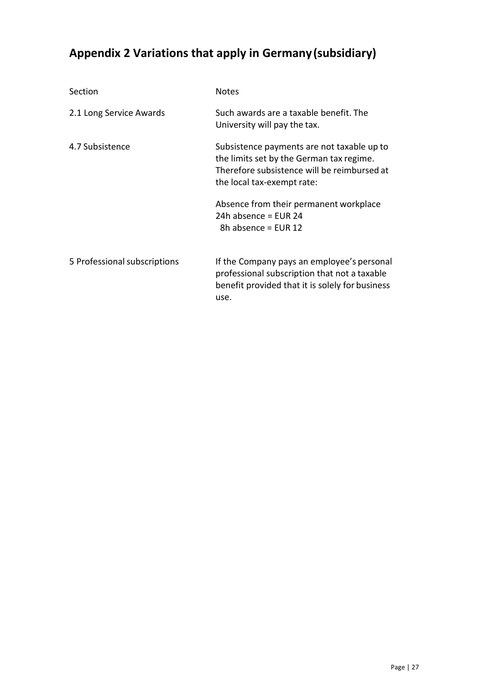# <span id="page-26-0"></span>**Appendix 2 Variations that apply in Germany(subsidiary)**

| Section                      | <b>Notes</b>                                                                                                                                                        |  |  |
|------------------------------|---------------------------------------------------------------------------------------------------------------------------------------------------------------------|--|--|
| 2.1 Long Service Awards      | Such awards are a taxable benefit. The<br>University will pay the tax.                                                                                              |  |  |
| 4.7 Subsistence              | Subsistence payments are not taxable up to<br>the limits set by the German tax regime.<br>Therefore subsistence will be reimbursed at<br>the local tax-exempt rate: |  |  |
|                              | Absence from their permanent workplace<br>24h absence = $FUR$ 24<br>8h absence = EUR 12                                                                             |  |  |
| 5 Professional subscriptions | If the Company pays an employee's personal<br>professional subscription that not a taxable<br>benefit provided that it is solely for business<br>use.               |  |  |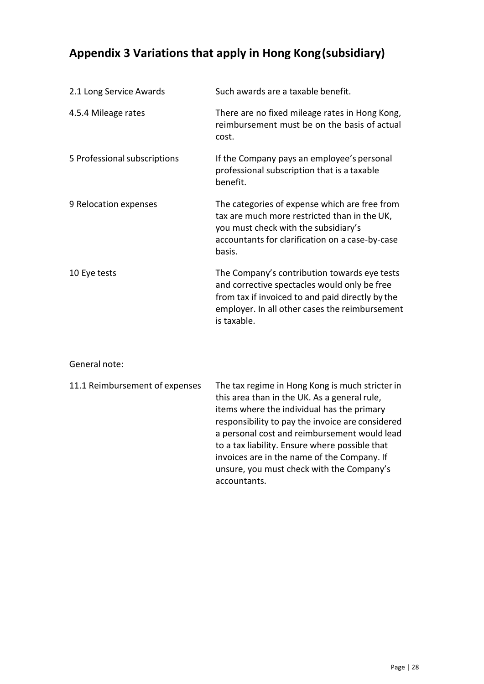# <span id="page-27-0"></span>**Appendix 3 Variations that apply in Hong Kong(subsidiary)**

| 2.1 Long Service Awards      | Such awards are a taxable benefit.                                                                                                                                                                                |
|------------------------------|-------------------------------------------------------------------------------------------------------------------------------------------------------------------------------------------------------------------|
| 4.5.4 Mileage rates          | There are no fixed mileage rates in Hong Kong,<br>reimbursement must be on the basis of actual<br>cost.                                                                                                           |
| 5 Professional subscriptions | If the Company pays an employee's personal<br>professional subscription that is a taxable<br>benefit.                                                                                                             |
| 9 Relocation expenses        | The categories of expense which are free from<br>tax are much more restricted than in the UK,<br>you must check with the subsidiary's<br>accountants for clarification on a case-by-case<br>basis.                |
| 10 Eye tests                 | The Company's contribution towards eye tests<br>and corrective spectacles would only be free<br>from tax if invoiced to and paid directly by the<br>employer. In all other cases the reimbursement<br>is taxable. |

#### General note:

| 11.1 Reimbursement of expenses | The tax regime in Hong Kong is much stricter in<br>this area than in the UK. As a general rule,<br>items where the individual has the primary<br>responsibility to pay the invoice are considered<br>a personal cost and reimbursement would lead<br>to a tax liability. Ensure where possible that<br>invoices are in the name of the Company. If<br>unsure, you must check with the Company's<br>accountants. |
|--------------------------------|-----------------------------------------------------------------------------------------------------------------------------------------------------------------------------------------------------------------------------------------------------------------------------------------------------------------------------------------------------------------------------------------------------------------|
|--------------------------------|-----------------------------------------------------------------------------------------------------------------------------------------------------------------------------------------------------------------------------------------------------------------------------------------------------------------------------------------------------------------------------------------------------------------|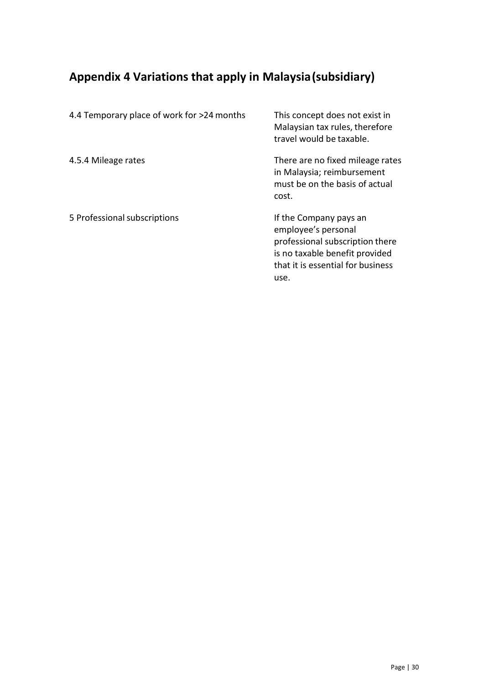# <span id="page-28-0"></span>**Appendix 4 Variations that apply in Malaysia(subsidiary)**

| 4.4 Temporary place of work for >24 months | This concept does not exist in<br>Malaysian tax rules, therefore<br>travel would be taxable.                                                                    |
|--------------------------------------------|-----------------------------------------------------------------------------------------------------------------------------------------------------------------|
| 4.5.4 Mileage rates                        | There are no fixed mileage rates<br>in Malaysia; reimbursement<br>must be on the basis of actual<br>cost.                                                       |
| 5 Professional subscriptions               | If the Company pays an<br>employee's personal<br>professional subscription there<br>is no taxable benefit provided<br>that it is essential for business<br>use. |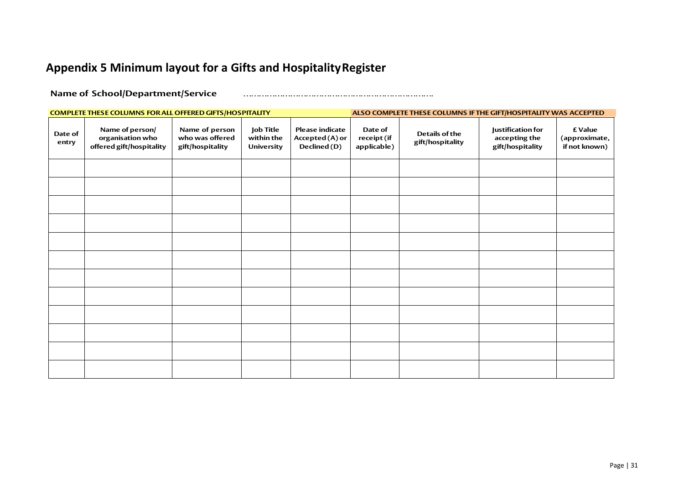# **Appendix 5 Minimum layout for a Gifts and HospitalityRegister**

**Name of School/Department/Service** ……………………………………………………………….

<span id="page-29-0"></span>

| COMPLETE THESE COLUMNS FOR ALL OFFERED GIFTS/HOSPITALITY |                                                                 |                                                       |                                                     |                                                           |                                       | ALSO COMPLETE THESE COLUMNS IF THE GIFT/HOSPITALITY WAS ACCEPTED |                                                               |                                           |
|----------------------------------------------------------|-----------------------------------------------------------------|-------------------------------------------------------|-----------------------------------------------------|-----------------------------------------------------------|---------------------------------------|------------------------------------------------------------------|---------------------------------------------------------------|-------------------------------------------|
| Date of<br>entry                                         | Name of person/<br>organisation who<br>offered gift/hospitality | Name of person<br>who was offered<br>gift/hospitality | <b>Job Title</b><br>within the<br><b>University</b> | <b>Please indicate</b><br>Accepted (A) or<br>Declined (D) | Date of<br>receipt (if<br>applicable) | Details of the<br>gift/hospitality                               | <b>Justification for</b><br>accepting the<br>gift/hospitality | £ Value<br>(approximate,<br>if not known) |
|                                                          |                                                                 |                                                       |                                                     |                                                           |                                       |                                                                  |                                                               |                                           |
|                                                          |                                                                 |                                                       |                                                     |                                                           |                                       |                                                                  |                                                               |                                           |
|                                                          |                                                                 |                                                       |                                                     |                                                           |                                       |                                                                  |                                                               |                                           |
|                                                          |                                                                 |                                                       |                                                     |                                                           |                                       |                                                                  |                                                               |                                           |
|                                                          |                                                                 |                                                       |                                                     |                                                           |                                       |                                                                  |                                                               |                                           |
|                                                          |                                                                 |                                                       |                                                     |                                                           |                                       |                                                                  |                                                               |                                           |
|                                                          |                                                                 |                                                       |                                                     |                                                           |                                       |                                                                  |                                                               |                                           |
|                                                          |                                                                 |                                                       |                                                     |                                                           |                                       |                                                                  |                                                               |                                           |
|                                                          |                                                                 |                                                       |                                                     |                                                           |                                       |                                                                  |                                                               |                                           |
|                                                          |                                                                 |                                                       |                                                     |                                                           |                                       |                                                                  |                                                               |                                           |
|                                                          |                                                                 |                                                       |                                                     |                                                           |                                       |                                                                  |                                                               |                                           |
|                                                          |                                                                 |                                                       |                                                     |                                                           |                                       |                                                                  |                                                               |                                           |